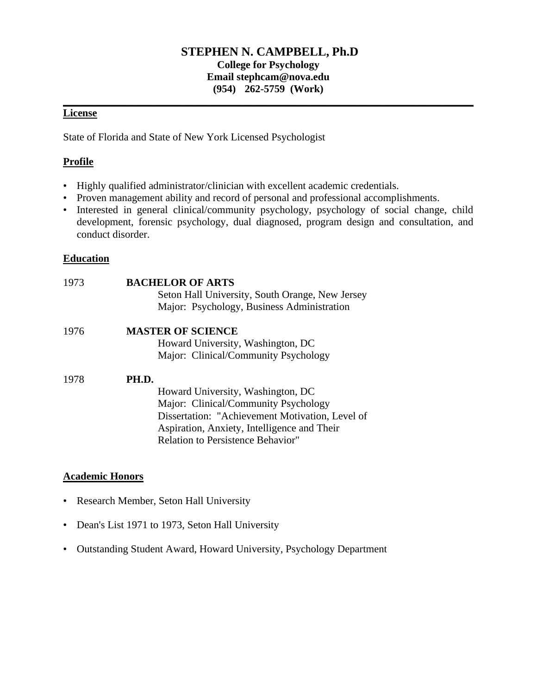## **STEPHEN N. CAMPBELL, Ph.D College for Psychology Email stephcam@nova.edu (954) 262-5759 (Work)**

**\_\_\_\_\_\_\_\_\_\_\_\_\_\_\_\_\_\_\_\_\_\_\_\_\_\_\_\_\_\_\_\_\_\_\_\_\_\_\_\_\_\_\_\_\_\_\_\_\_\_\_\_\_\_\_\_\_\_\_\_\_\_\_\_\_\_\_\_\_\_\_\_\_\_\_\_\_\_** 

# **License**

State of Florida and State of New York Licensed Psychologist

## **Profile**

- Highly qualified administrator/clinician with excellent academic credentials.
- Proven management ability and record of personal and professional accomplishments.
- Interested in general clinical/community psychology, psychology of social change, child development, forensic psychology, dual diagnosed, program design and consultation, and conduct disorder.

## **Education**

| 1973 | <b>BACHELOR OF ARTS</b><br>Seton Hall University, South Orange, New Jersey<br>Major: Psychology, Business Administration |
|------|--------------------------------------------------------------------------------------------------------------------------|
| 1976 | <b>MASTER OF SCIENCE</b>                                                                                                 |
|      | Howard University, Washington, DC                                                                                        |
|      | Major: Clinical/Community Psychology                                                                                     |
| 1978 | PH.D.                                                                                                                    |
|      | Howard University, Washington, DC                                                                                        |
|      | Major: Clinical/Community Psychology                                                                                     |
|      | Dissertation: "Achievement Motivation, Level of<br>Aspiration, Anxiety, Intelligence and Their                           |
|      | <b>Relation to Persistence Behavior"</b>                                                                                 |

## **Academic Honors**

- Research Member, Seton Hall University
- Dean's List 1971 to 1973, Seton Hall University
- Outstanding Student Award, Howard University, Psychology Department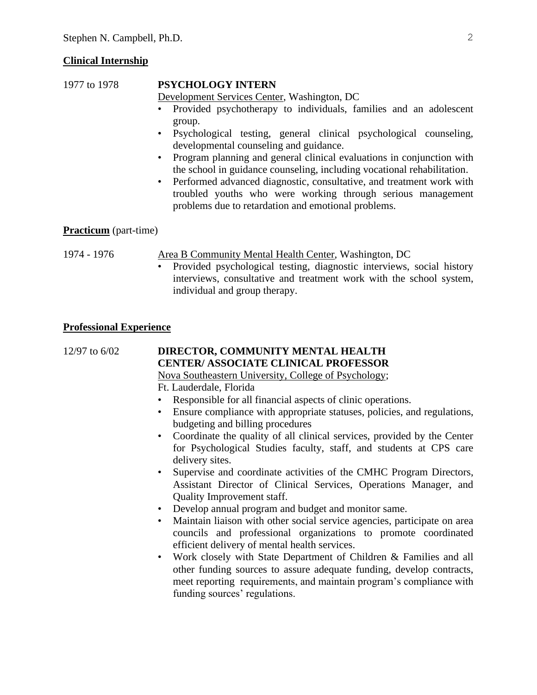#### **Clinical Internship**

## 1977 to 1978 **PSYCHOLOGY INTERN**

Development Services Center, Washington, DC

- Provided psychotherapy to individuals, families and an adolescent group.
- Psychological testing, general clinical psychological counseling, developmental counseling and guidance.
- Program planning and general clinical evaluations in conjunction with the school in guidance counseling, including vocational rehabilitation.
- Performed advanced diagnostic, consultative, and treatment work with troubled youths who were working through serious management problems due to retardation and emotional problems.

### **Practicum** (part-time)

1974 - 1976 Area B Community Mental Health Center, Washington, DC

• Provided psychological testing, diagnostic interviews, social history interviews, consultative and treatment work with the school system, individual and group therapy.

#### **Professional Experience**

12/97 to 6/02 **DIRECTOR, COMMUNITY MENTAL HEALTH CENTER/ ASSOCIATE CLINICAL PROFESSOR** Nova Southeastern University, College of Psychology; Ft. Lauderdale, Florida Responsible for all financial aspects of clinic operations. • Ensure compliance with appropriate statuses, policies, and regulations, budgeting and billing procedures • Coordinate the quality of all clinical services, provided by the Center for Psychological Studies faculty, staff, and students at CPS care delivery sites. • Supervise and coordinate activities of the CMHC Program Directors, Assistant Director of Clinical Services, Operations Manager, and Quality Improvement staff. • Develop annual program and budget and monitor same. • Maintain liaison with other social service agencies, participate on area councils and professional organizations to promote coordinated efficient delivery of mental health services. • Work closely with State Department of Children & Families and all other funding sources to assure adequate funding, develop contracts, meet reporting requirements, and maintain program's compliance with funding sources' regulations.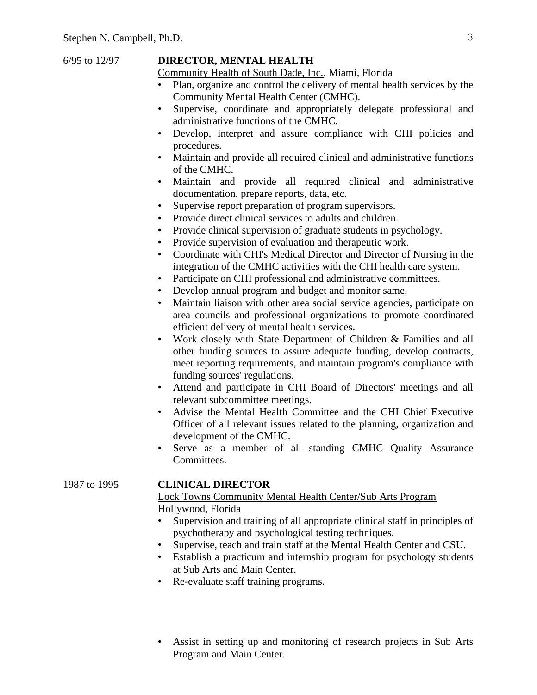#### 6/95 to 12/97 **DIRECTOR, MENTAL HEALTH**

Community Health of South Dade, Inc., Miami, Florida

- Plan, organize and control the delivery of mental health services by the Community Mental Health Center (CMHC).
- Supervise, coordinate and appropriately delegate professional and administrative functions of the CMHC.
- Develop, interpret and assure compliance with CHI policies and procedures.
- Maintain and provide all required clinical and administrative functions of the CMHC.
- Maintain and provide all required clinical and administrative documentation, prepare reports, data, etc.
- Supervise report preparation of program supervisors.
- Provide direct clinical services to adults and children.
- Provide clinical supervision of graduate students in psychology.
- Provide supervision of evaluation and therapeutic work.
- Coordinate with CHI's Medical Director and Director of Nursing in the integration of the CMHC activities with the CHI health care system.
- Participate on CHI professional and administrative committees.
- Develop annual program and budget and monitor same.
- Maintain liaison with other area social service agencies, participate on area councils and professional organizations to promote coordinated efficient delivery of mental health services.
- Work closely with State Department of Children & Families and all other funding sources to assure adequate funding, develop contracts, meet reporting requirements, and maintain program's compliance with funding sources' regulations.
- Attend and participate in CHI Board of Directors' meetings and all relevant subcommittee meetings.
- Advise the Mental Health Committee and the CHI Chief Executive Officer of all relevant issues related to the planning, organization and development of the CMHC.
- Serve as a member of all standing CMHC Quality Assurance Committees.

### 1987 to 1995 **CLINICAL DIRECTOR**

Lock Towns Community Mental Health Center/Sub Arts Program Hollywood, Florida

- Supervision and training of all appropriate clinical staff in principles of psychotherapy and psychological testing techniques.
- Supervise, teach and train staff at the Mental Health Center and CSU.
- Establish a practicum and internship program for psychology students at Sub Arts and Main Center.
- Re-evaluate staff training programs.
- Assist in setting up and monitoring of research projects in Sub Arts Program and Main Center.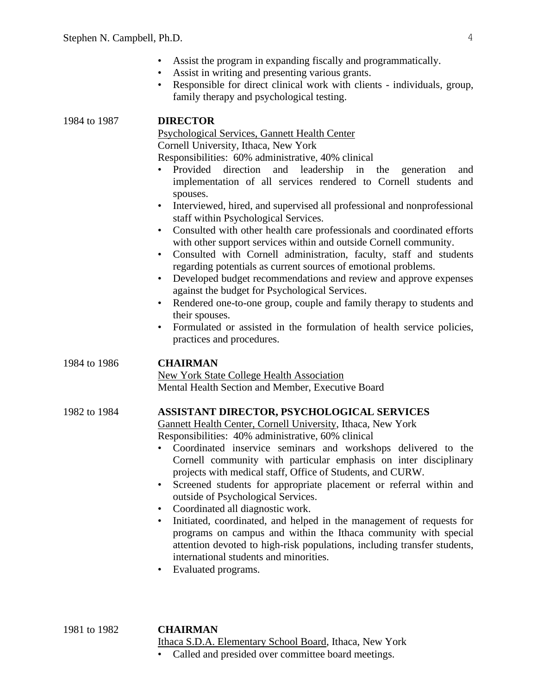- Assist the program in expanding fiscally and programmatically.
- Assist in writing and presenting various grants.
- Responsible for direct clinical work with clients individuals, group, family therapy and psychological testing.

| 1984 to 1987 | <b>DIRECTOR</b><br>Psychological Services, Gannett Health Center<br>Cornell University, Ithaca, New York<br>Responsibilities: 60% administrative, 40% clinical<br>Provided<br>direction<br>leadership<br>and<br>in<br>the<br>generation<br>and<br>$\bullet$<br>implementation of all services rendered to Cornell students<br>and<br>spouses.<br>Interviewed, hired, and supervised all professional and nonprofessional<br>$\bullet$<br>staff within Psychological Services.<br>Consulted with other health care professionals and coordinated efforts<br>$\bullet$<br>with other support services within and outside Cornell community.<br>Consulted with Cornell administration, faculty, staff and students<br>$\bullet$<br>regarding potentials as current sources of emotional problems.<br>Developed budget recommendations and review and approve expenses<br>against the budget for Psychological Services.<br>Rendered one-to-one group, couple and family therapy to students and<br>$\bullet$<br>their spouses.<br>Formulated or assisted in the formulation of health service policies,<br>$\bullet$<br>practices and procedures. |
|--------------|------------------------------------------------------------------------------------------------------------------------------------------------------------------------------------------------------------------------------------------------------------------------------------------------------------------------------------------------------------------------------------------------------------------------------------------------------------------------------------------------------------------------------------------------------------------------------------------------------------------------------------------------------------------------------------------------------------------------------------------------------------------------------------------------------------------------------------------------------------------------------------------------------------------------------------------------------------------------------------------------------------------------------------------------------------------------------------------------------------------------------------------------|
| 1984 to 1986 | <b>CHAIRMAN</b><br><b>New York State College Health Association</b><br>Mental Health Section and Member, Executive Board                                                                                                                                                                                                                                                                                                                                                                                                                                                                                                                                                                                                                                                                                                                                                                                                                                                                                                                                                                                                                       |
| 1982 to 1984 | <b>ASSISTANT DIRECTOR, PSYCHOLOGICAL SERVICES</b><br><b>Gannett Health Center, Cornell University, Ithaca, New York</b><br>Responsibilities: 40% administrative, 60% clinical<br>Coordinated inservice seminars and workshops delivered to the<br>Cornell community with particular emphasis on inter disciplinary<br>projects with medical staff, Office of Students, and CURW.<br>Screened students for appropriate placement or referral within and<br>$\bullet$<br>outside of Psychological Services.<br>Coordinated all diagnostic work.<br>Initiated, coordinated, and helped in the management of requests for<br>$\bullet$<br>programs on campus and within the Ithaca community with special<br>attention devoted to high-risk populations, including transfer students,<br>international students and minorities.<br>Evaluated programs.<br>$\bullet$                                                                                                                                                                                                                                                                                |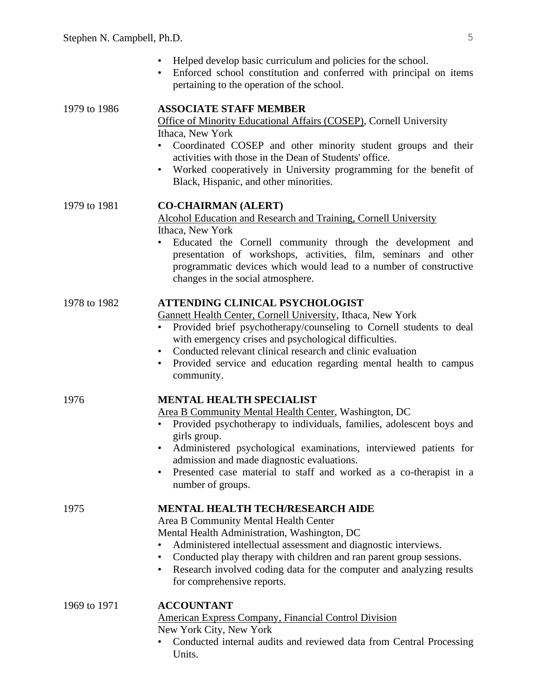- Helped develop basic curriculum and policies for the school.
- Enforced school constitution and conferred with principal on items pertaining to the operation of the school.

| 1979 to 1986 | <b>ASSOCIATE STAFF MEMBER</b><br>Office of Minority Educational Affairs (COSEP), Cornell University<br>Ithaca, New York<br>Coordinated COSEP and other minority student groups and their<br>activities with those in the Dean of Students' office.<br>Worked cooperatively in University programming for the benefit of<br>$\bullet$<br>Black, Hispanic, and other minorities.                                           |
|--------------|--------------------------------------------------------------------------------------------------------------------------------------------------------------------------------------------------------------------------------------------------------------------------------------------------------------------------------------------------------------------------------------------------------------------------|
| 1979 to 1981 | <b>CO-CHAIRMAN (ALERT)</b><br>Alcohol Education and Research and Training, Cornell University<br>Ithaca, New York<br>Educated the Cornell community through the development and<br>٠<br>presentation of workshops, activities, film, seminars and other<br>programmatic devices which would lead to a number of constructive<br>changes in the social atmosphere.                                                        |
| 1978 to 1982 | ATTENDING CLINICAL PSYCHOLOGIST<br><b>Gannett Health Center, Cornell University, Ithaca, New York</b><br>Provided brief psychotherapy/counseling to Cornell students to deal<br>with emergency crises and psychological difficulties.<br>Conducted relevant clinical research and clinic evaluation<br>$\bullet$<br>Provided service and education regarding mental health to campus<br>$\bullet$<br>community.          |
| 1976         | <b>MENTAL HEALTH SPECIALIST</b><br>Area B Community Mental Health Center, Washington, DC<br>Provided psychotherapy to individuals, families, adolescent boys and<br>girls group.<br>Administered psychological examinations, interviewed patients for<br>$\bullet$<br>admission and made diagnostic evaluations.<br>Presented case material to staff and worked as a co-therapist in a<br>$\bullet$<br>number of groups. |
| 1975         | <b>MENTAL HEALTH TECH/RESEARCH AIDE</b><br>Area B Community Mental Health Center<br>Mental Health Administration, Washington, DC<br>Administered intellectual assessment and diagnostic interviews.<br>Conducted play therapy with children and ran parent group sessions.<br>$\bullet$<br>Research involved coding data for the computer and analyzing results<br>$\bullet$<br>for comprehensive reports.               |
| 1969 to 1971 | <b>ACCOUNTANT</b><br><b>American Express Company, Financial Control Division</b><br>New York City, New York<br>Conducted internal audits and reviewed data from Central Processing                                                                                                                                                                                                                                       |

Units.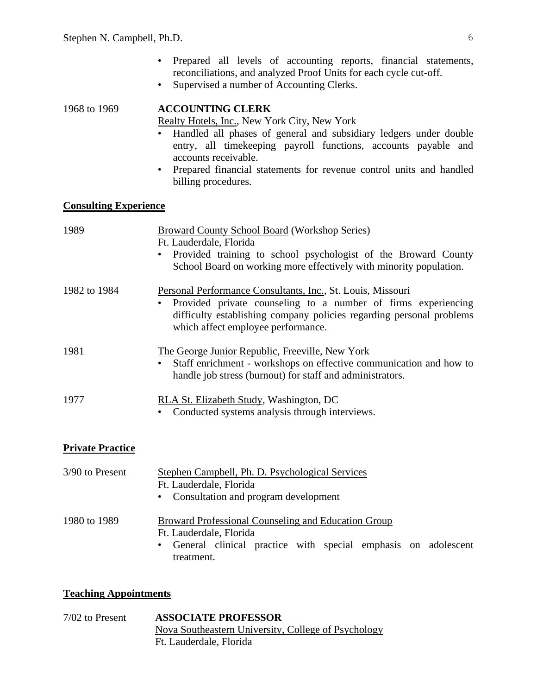- Prepared all levels of accounting reports, financial statements, reconciliations, and analyzed Proof Units for each cycle cut-off.
- Supervised a number of Accounting Clerks.

## 1968 to 1969 **ACCOUNTING CLERK**

Realty Hotels, Inc., New York City, New York

- Handled all phases of general and subsidiary ledgers under double entry, all timekeeping payroll functions, accounts payable and accounts receivable.
- Prepared financial statements for revenue control units and handled billing procedures.

## **Consulting Experience**

| 1989         | <b>Broward County School Board (Workshop Series)</b><br>Ft. Lauderdale, Florida<br>Provided training to school psychologist of the Broward County<br>$\bullet$<br>School Board on working more effectively with minority population.       |
|--------------|--------------------------------------------------------------------------------------------------------------------------------------------------------------------------------------------------------------------------------------------|
| 1982 to 1984 | Personal Performance Consultants, Inc., St. Louis, Missouri<br>Provided private counseling to a number of firms experiencing<br>difficulty establishing company policies regarding personal problems<br>which affect employee performance. |
| 1981         | The George Junior Republic, Freeville, New York<br>Staff enrichment - workshops on effective communication and how to<br>$\bullet$<br>handle job stress (burnout) for staff and administrators.                                            |
| 1977         | RLA St. Elizabeth Study, Washington, DC<br>Conducted systems analysis through interviews.                                                                                                                                                  |

### **Private Practice**

| 3/90 to Present | Stephen Campbell, Ph. D. Psychological Services                 |
|-----------------|-----------------------------------------------------------------|
|                 | Ft. Lauderdale, Florida                                         |
|                 | • Consultation and program development                          |
| 1980 to 1989    | Broward Professional Counseling and Education Group             |
|                 | Ft. Lauderdale, Florida                                         |
|                 | • General clinical practice with special emphasis on adolescent |
|                 | treatment.                                                      |

### **Teaching Appointments**

| $7/02$ to Present | <b>ASSOCIATE PROFESSOR</b>                          |
|-------------------|-----------------------------------------------------|
|                   | Nova Southeastern University, College of Psychology |
|                   | Ft. Lauderdale, Florida                             |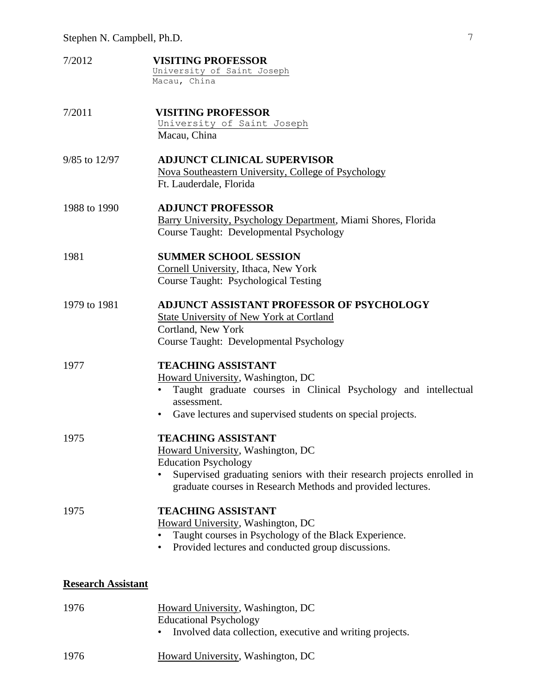- 7/2012 **VISITING PROFESSOR** University of Saint Joseph Macau, China
- 7/2011 **VISITING PROFESSOR** University of Saint Joseph Macau, China
- 9/85 to 12/97 **ADJUNCT CLINICAL SUPERVISOR** Nova Southeastern University, College of Psychology Ft. Lauderdale, Florida
- 1988 to 1990 **ADJUNCT PROFESSOR** Barry University, Psychology Department, Miami Shores, Florida Course Taught: Developmental Psychology
- 1981 **SUMMER SCHOOL SESSION** Cornell University, Ithaca, New York Course Taught: Psychological Testing
- 1979 to 1981 **ADJUNCT ASSISTANT PROFESSOR OF PSYCHOLOGY** State University of New York at Cortland Cortland, New York Course Taught: Developmental Psychology

## 1977 **TEACHING ASSISTANT**

Howard University, Washington, DC

- Taught graduate courses in Clinical Psychology and intellectual assessment.
- Gave lectures and supervised students on special projects.
- 1975 **TEACHING ASSISTANT**

Howard University, Washington, DC Education Psychology

Supervised graduating seniors with their research projects enrolled in graduate courses in Research Methods and provided lectures.

1975 **TEACHING ASSISTANT**

Howard University, Washington, DC

- Taught courses in Psychology of the Black Experience.
- Provided lectures and conducted group discussions.

#### **Research Assistant**

| 1976 | Howard University, Washington, DC                           |
|------|-------------------------------------------------------------|
|      | <b>Educational Psychology</b>                               |
|      | • Involved data collection, executive and writing projects. |
| 1976 | Howard University, Washington, DC                           |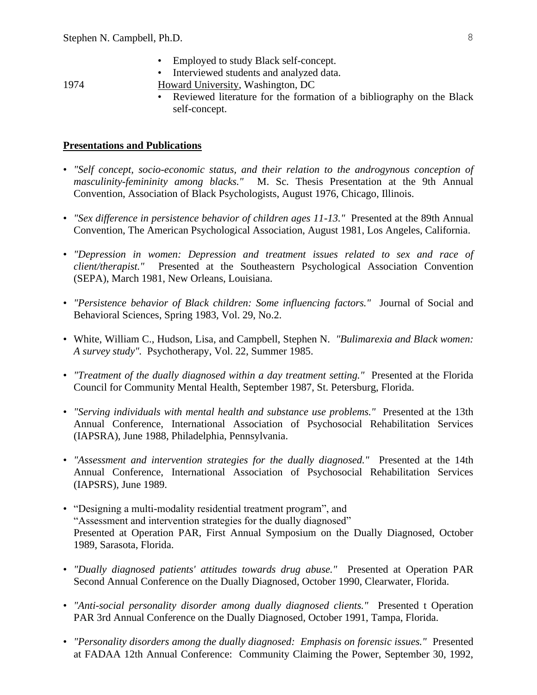- Employed to study Black self-concept.
- Interviewed students and analyzed data.

- 1974 Howard University, Washington, DC
	- Reviewed literature for the formation of a bibliography on the Black self-concept.

### **Presentations and Publications**

- *"Self concept, socio-economic status, and their relation to the androgynous conception of masculinity-femininity among blacks."* M. Sc. Thesis Presentation at the 9th Annual Convention, Association of Black Psychologists, August 1976, Chicago, Illinois.
- *"Sex difference in persistence behavior of children ages 11-13."* Presented at the 89th Annual Convention, The American Psychological Association, August 1981, Los Angeles, California.
- *"Depression in women: Depression and treatment issues related to sex and race of client/therapist."* Presented at the Southeastern Psychological Association Convention (SEPA), March 1981, New Orleans, Louisiana.
- *"Persistence behavior of Black children: Some influencing factors."* Journal of Social and Behavioral Sciences, Spring 1983, Vol. 29, No.2.
- White, William C., Hudson, Lisa, and Campbell, Stephen N. *"Bulimarexia and Black women: A survey study".* Psychotherapy, Vol. 22, Summer 1985.
- *"Treatment of the dually diagnosed within a day treatment setting."* Presented at the Florida Council for Community Mental Health, September 1987, St. Petersburg, Florida.
- *"Serving individuals with mental health and substance use problems."* Presented at the 13th Annual Conference, International Association of Psychosocial Rehabilitation Services (IAPSRA), June 1988, Philadelphia, Pennsylvania.
- *"Assessment and intervention strategies for the dually diagnosed."* Presented at the 14th Annual Conference, International Association of Psychosocial Rehabilitation Services (IAPSRS), June 1989.
- "Designing a multi-modality residential treatment program", and "Assessment and intervention strategies for the dually diagnosed" Presented at Operation PAR, First Annual Symposium on the Dually Diagnosed, October 1989, Sarasota, Florida.
- *"Dually diagnosed patients' attitudes towards drug abuse."* Presented at Operation PAR Second Annual Conference on the Dually Diagnosed, October 1990, Clearwater, Florida.
- *"Anti-social personality disorder among dually diagnosed clients."* Presented t Operation PAR 3rd Annual Conference on the Dually Diagnosed, October 1991, Tampa, Florida.
- *"Personality disorders among the dually diagnosed: Emphasis on forensic issues."* Presented at FADAA 12th Annual Conference: Community Claiming the Power, September 30, 1992,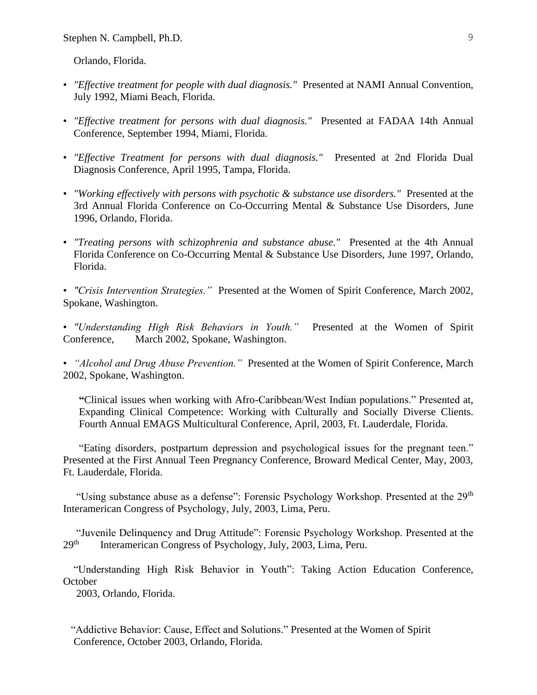Orlando, Florida.

- *"Effective treatment for people with dual diagnosis."* Presented at NAMI Annual Convention, July 1992, Miami Beach, Florida.
- *"Effective treatment for persons with dual diagnosis."* Presented at FADAA 14th Annual Conference, September 1994, Miami, Florida.
- *"Effective Treatment for persons with dual diagnosis."* Presented at 2nd Florida Dual Diagnosis Conference, April 1995, Tampa, Florida.
- *"Working effectively with persons with psychotic & substance use disorders."* Presented at the 3rd Annual Florida Conference on Co-Occurring Mental & Substance Use Disorders, June 1996, Orlando, Florida.
- *"Treating persons with schizophrenia and substance abuse."* Presented at the 4th Annual Florida Conference on Co-Occurring Mental & Substance Use Disorders, June 1997, Orlando, Florida.
- *"Crisis Intervention Strategies."* Presented at the Women of Spirit Conference, March 2002, Spokane, Washington.
- *"Understanding High Risk Behaviors in Youth."* Presented at the Women of Spirit Conference, March 2002, Spokane, Washington.

• *"Alcohol and Drug Abuse Prevention."* Presented at the Women of Spirit Conference, March 2002, Spokane, Washington.

**"**Clinical issues when working with Afro-Caribbean/West Indian populations." Presented at, Expanding Clinical Competence: Working with Culturally and Socially Diverse Clients. Fourth Annual EMAGS Multicultural Conference, April, 2003, Ft. Lauderdale, Florida.

 "Eating disorders, postpartum depression and psychological issues for the pregnant teen." Presented at the First Annual Teen Pregnancy Conference, Broward Medical Center, May, 2003, Ft. Lauderdale, Florida.

"Using substance abuse as a defense": Forensic Psychology Workshop. Presented at the 29<sup>th</sup> Interamerican Congress of Psychology, July, 2003, Lima, Peru.

 "Juvenile Delinquency and Drug Attitude": Forensic Psychology Workshop. Presented at the  $29<sup>th</sup>$ Interamerican Congress of Psychology, July, 2003, Lima, Peru.

 "Understanding High Risk Behavior in Youth": Taking Action Education Conference, **October** 

2003, Orlando, Florida.

 "Addictive Behavior: Cause, Effect and Solutions." Presented at the Women of Spirit Conference, October 2003, Orlando, Florida.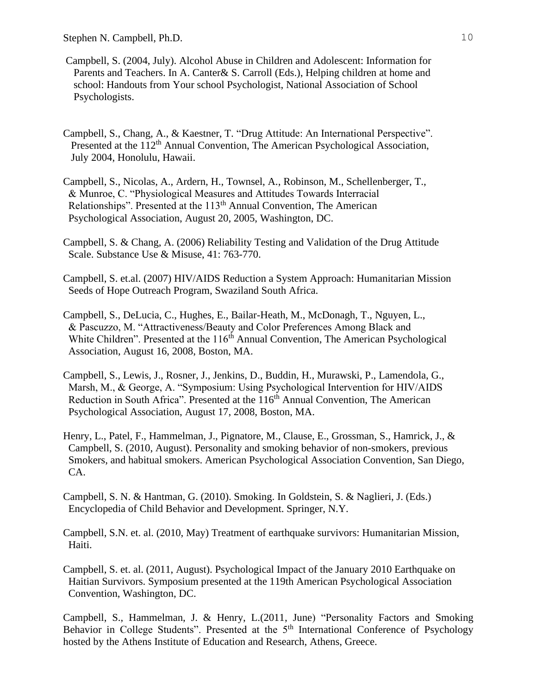- Campbell, S. (2004, July). Alcohol Abuse in Children and Adolescent: Information for Parents and Teachers. In A. Canter& S. Carroll (Eds.), Helping children at home and school: Handouts from Your school Psychologist, National Association of School Psychologists.
- Campbell, S., Chang, A., & Kaestner, T. "Drug Attitude: An International Perspective". Presented at the 112<sup>th</sup> Annual Convention, The American Psychological Association, July 2004, Honolulu, Hawaii.
- Campbell, S., Nicolas, A., Ardern, H., Townsel, A., Robinson, M., Schellenberger, T., & Munroe, C. "Physiological Measures and Attitudes Towards Interracial Relationships". Presented at the  $113<sup>th</sup>$  Annual Convention, The American Psychological Association, August 20, 2005, Washington, DC.
- Campbell, S. & Chang, A. (2006) Reliability Testing and Validation of the Drug Attitude Scale. Substance Use & Misuse, 41: 763-770.
- Campbell, S. et.al. (2007) HIV/AIDS Reduction a System Approach: Humanitarian Mission Seeds of Hope Outreach Program, Swaziland South Africa.
- Campbell, S., DeLucia, C., Hughes, E., Bailar-Heath, M., McDonagh, T., Nguyen, L., & Pascuzzo, M. "Attractiveness/Beauty and Color Preferences Among Black and White Children". Presented at the 116<sup>th</sup> Annual Convention, The American Psychological Association, August 16, 2008, Boston, MA.
- Campbell, S., Lewis, J., Rosner, J., Jenkins, D., Buddin, H., Murawski, P., Lamendola, G., Marsh, M., & George, A. "Symposium: Using Psychological Intervention for HIV/AIDS Reduction in South Africa". Presented at the 116<sup>th</sup> Annual Convention, The American Psychological Association, August 17, 2008, Boston, MA.
- Henry, L., Patel, F., Hammelman, J., Pignatore, M., Clause, E., Grossman, S., Hamrick, J., & Campbell, S. (2010, August). Personality and smoking behavior of non-smokers, previous Smokers, and habitual smokers. American Psychological Association Convention, San Diego, CA.
- Campbell, S. N. & Hantman, G. (2010). Smoking. In Goldstein, S. & Naglieri, J. (Eds.) Encyclopedia of Child Behavior and Development. Springer, N.Y.
- Campbell, S.N. et. al. (2010, May) Treatment of earthquake survivors: Humanitarian Mission, Haiti.
- Campbell, S. et. al. (2011, August). Psychological Impact of the January 2010 Earthquake on Haitian Survivors. Symposium presented at the 119th American Psychological Association Convention, Washington, DC.
- Campbell, S., Hammelman, J. & Henry, L.(2011, June) "Personality Factors and Smoking Behavior in College Students". Presented at the 5<sup>th</sup> International Conference of Psychology hosted by the Athens Institute of Education and Research, Athens, Greece.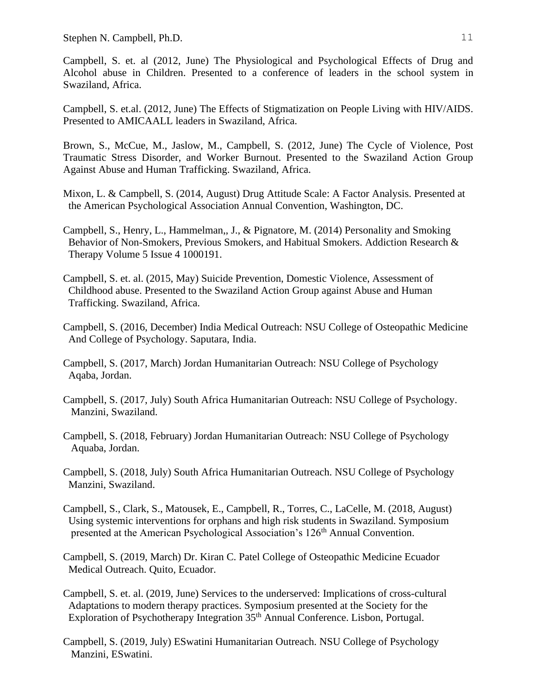Stephen N. Campbell, Ph.D. 11

Campbell, S. et. al (2012, June) The Physiological and Psychological Effects of Drug and Alcohol abuse in Children. Presented to a conference of leaders in the school system in Swaziland, Africa.

Campbell, S. et.al. (2012, June) The Effects of Stigmatization on People Living with HIV/AIDS. Presented to AMICAALL leaders in Swaziland, Africa.

Brown, S., McCue, M., Jaslow, M., Campbell, S. (2012, June) The Cycle of Violence, Post Traumatic Stress Disorder, and Worker Burnout. Presented to the Swaziland Action Group Against Abuse and Human Trafficking. Swaziland, Africa.

Mixon, L. & Campbell, S. (2014, August) Drug Attitude Scale: A Factor Analysis. Presented at the American Psychological Association Annual Convention, Washington, DC.

Campbell, S., Henry, L., Hammelman,, J., & Pignatore, M. (2014) Personality and Smoking Behavior of Non-Smokers, Previous Smokers, and Habitual Smokers. Addiction Research & Therapy Volume 5 Issue 4 1000191.

Campbell, S. et. al. (2015, May) Suicide Prevention, Domestic Violence, Assessment of Childhood abuse. Presented to the Swaziland Action Group against Abuse and Human Trafficking. Swaziland, Africa.

Campbell, S. (2016, December) India Medical Outreach: NSU College of Osteopathic Medicine And College of Psychology. Saputara, India.

Campbell, S. (2017, March) Jordan Humanitarian Outreach: NSU College of Psychology Aqaba, Jordan.

Campbell, S. (2017, July) South Africa Humanitarian Outreach: NSU College of Psychology. Manzini, Swaziland.

Campbell, S. (2018, February) Jordan Humanitarian Outreach: NSU College of Psychology Aquaba, Jordan.

Campbell, S. (2018, July) South Africa Humanitarian Outreach. NSU College of Psychology Manzini, Swaziland.

Campbell, S., Clark, S., Matousek, E., Campbell, R., Torres, C., LaCelle, M. (2018, August) Using systemic interventions for orphans and high risk students in Swaziland. Symposium presented at the American Psychological Association's 126<sup>th</sup> Annual Convention.

Campbell, S. (2019, March) Dr. Kiran C. Patel College of Osteopathic Medicine Ecuador Medical Outreach. Quito, Ecuador.

Campbell, S. et. al. (2019, June) Services to the underserved: Implications of cross-cultural Adaptations to modern therapy practices. Symposium presented at the Society for the Exploration of Psychotherapy Integration 35<sup>th</sup> Annual Conference. Lisbon, Portugal.

Campbell, S. (2019, July) ESwatini Humanitarian Outreach. NSU College of Psychology Manzini, ESwatini.